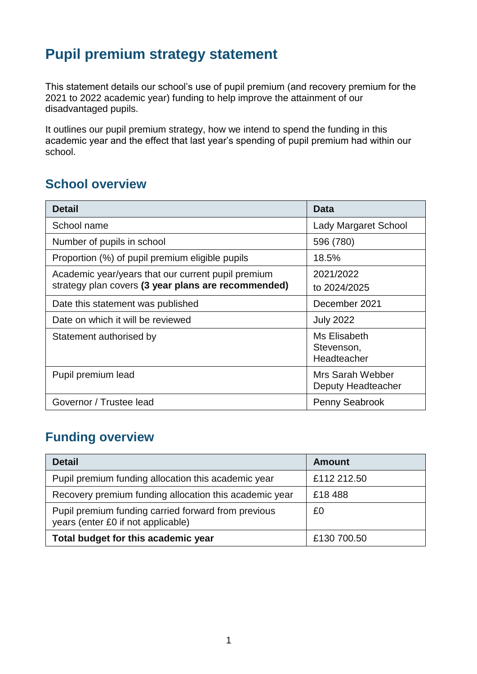## **Pupil premium strategy statement**

This statement details our school's use of pupil premium (and recovery premium for the 2021 to 2022 academic year) funding to help improve the attainment of our disadvantaged pupils.

It outlines our pupil premium strategy, how we intend to spend the funding in this academic year and the effect that last year's spending of pupil premium had within our school.

#### **School overview**

| <b>Detail</b>                                                                                             | <b>Data</b>                               |
|-----------------------------------------------------------------------------------------------------------|-------------------------------------------|
| School name                                                                                               | <b>Lady Margaret School</b>               |
| Number of pupils in school                                                                                | 596 (780)                                 |
| Proportion (%) of pupil premium eligible pupils                                                           | 18.5%                                     |
| Academic year/years that our current pupil premium<br>strategy plan covers (3 year plans are recommended) | 2021/2022<br>to 2024/2025                 |
| Date this statement was published                                                                         | December 2021                             |
| Date on which it will be reviewed                                                                         | <b>July 2022</b>                          |
| Statement authorised by                                                                                   | Ms Elisabeth<br>Stevenson,<br>Headteacher |
| Pupil premium lead                                                                                        | Mrs Sarah Webber<br>Deputy Headteacher    |
| Governor / Trustee lead                                                                                   | Penny Seabrook                            |

#### **Funding overview**

| <b>Detail</b>                                                                             | <b>Amount</b> |
|-------------------------------------------------------------------------------------------|---------------|
| Pupil premium funding allocation this academic year                                       | £112 212.50   |
| Recovery premium funding allocation this academic year                                    | £18488        |
| Pupil premium funding carried forward from previous<br>years (enter £0 if not applicable) | £0            |
| Total budget for this academic year                                                       | £130 700.50   |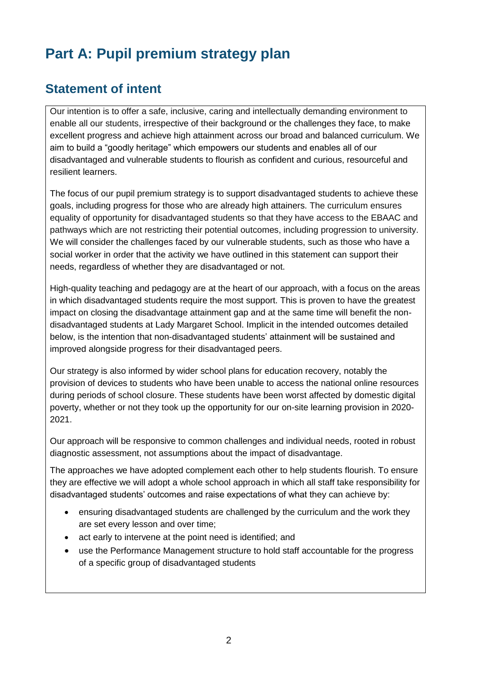# **Part A: Pupil premium strategy plan**

#### **Statement of intent**

Our intention is to offer a safe, inclusive, caring and intellectually demanding environment to enable all our students, irrespective of their background or the challenges they face, to make excellent progress and achieve high attainment across our broad and balanced curriculum. We aim to build a "goodly heritage" which empowers our students and enables all of our disadvantaged and vulnerable students to flourish as confident and curious, resourceful and resilient learners.

The focus of our pupil premium strategy is to support disadvantaged students to achieve these goals, including progress for those who are already high attainers. The curriculum ensures equality of opportunity for disadvantaged students so that they have access to the EBAAC and pathways which are not restricting their potential outcomes, including progression to university. We will consider the challenges faced by our vulnerable students, such as those who have a social worker in order that the activity we have outlined in this statement can support their needs, regardless of whether they are disadvantaged or not.

High-quality teaching and pedagogy are at the heart of our approach, with a focus on the areas in which disadvantaged students require the most support. This is proven to have the greatest impact on closing the disadvantage attainment gap and at the same time will benefit the nondisadvantaged students at Lady Margaret School. Implicit in the intended outcomes detailed below, is the intention that non-disadvantaged students' attainment will be sustained and improved alongside progress for their disadvantaged peers.

Our strategy is also informed by wider school plans for education recovery, notably the provision of devices to students who have been unable to access the national online resources during periods of school closure. These students have been worst affected by domestic digital poverty, whether or not they took up the opportunity for our on-site learning provision in 2020- 2021.

Our approach will be responsive to common challenges and individual needs, rooted in robust diagnostic assessment, not assumptions about the impact of disadvantage.

The approaches we have adopted complement each other to help students flourish. To ensure they are effective we will adopt a whole school approach in which all staff take responsibility for disadvantaged students' outcomes and raise expectations of what they can achieve by:

- ensuring disadvantaged students are challenged by the curriculum and the work they are set every lesson and over time;
- act early to intervene at the point need is identified; and
- use the Performance Management structure to hold staff accountable for the progress of a specific group of disadvantaged students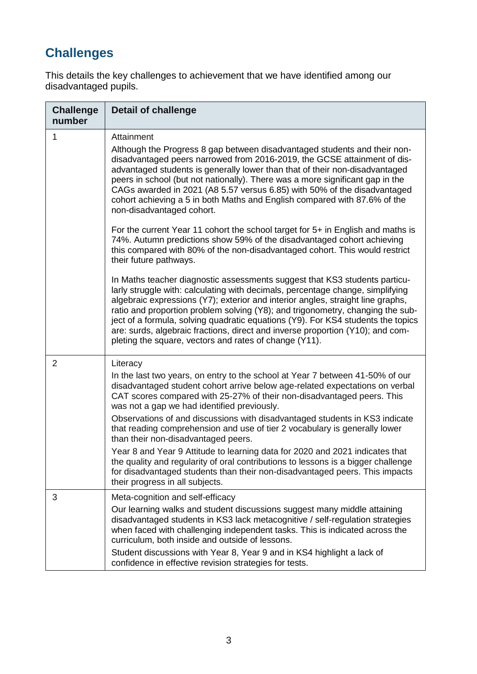# **Challenges**

This details the key challenges to achievement that we have identified among our disadvantaged pupils.

| <b>Challenge</b><br>number | <b>Detail of challenge</b>                                                                                                                                                                                                                                                                                                                                                                                                                                                                                                                                        |
|----------------------------|-------------------------------------------------------------------------------------------------------------------------------------------------------------------------------------------------------------------------------------------------------------------------------------------------------------------------------------------------------------------------------------------------------------------------------------------------------------------------------------------------------------------------------------------------------------------|
| 1                          | Attainment                                                                                                                                                                                                                                                                                                                                                                                                                                                                                                                                                        |
|                            | Although the Progress 8 gap between disadvantaged students and their non-<br>disadvantaged peers narrowed from 2016-2019, the GCSE attainment of dis-<br>advantaged students is generally lower than that of their non-disadvantaged<br>peers in school (but not nationally). There was a more significant gap in the<br>CAGs awarded in 2021 (A8 5.57 versus 6.85) with 50% of the disadvantaged<br>cohort achieving a 5 in both Maths and English compared with 87.6% of the<br>non-disadvantaged cohort.                                                       |
|                            | For the current Year 11 cohort the school target for 5+ in English and maths is<br>74%. Autumn predictions show 59% of the disadvantaged cohort achieving<br>this compared with 80% of the non-disadvantaged cohort. This would restrict<br>their future pathways.                                                                                                                                                                                                                                                                                                |
|                            | In Maths teacher diagnostic assessments suggest that KS3 students particu-<br>larly struggle with: calculating with decimals, percentage change, simplifying<br>algebraic expressions (Y7); exterior and interior angles, straight line graphs,<br>ratio and proportion problem solving (Y8); and trigonometry, changing the sub-<br>ject of a formula, solving quadratic equations (Y9). For KS4 students the topics<br>are: surds, algebraic fractions, direct and inverse proportion (Y10); and com-<br>pleting the square, vectors and rates of change (Y11). |
| 2                          | Literacy                                                                                                                                                                                                                                                                                                                                                                                                                                                                                                                                                          |
|                            | In the last two years, on entry to the school at Year 7 between 41-50% of our<br>disadvantaged student cohort arrive below age-related expectations on verbal<br>CAT scores compared with 25-27% of their non-disadvantaged peers. This<br>was not a gap we had identified previously.                                                                                                                                                                                                                                                                            |
|                            | Observations of and discussions with disadvantaged students in KS3 indicate<br>that reading comprehension and use of tier 2 vocabulary is generally lower<br>than their non-disadvantaged peers.                                                                                                                                                                                                                                                                                                                                                                  |
|                            | Year 8 and Year 9 Attitude to learning data for 2020 and 2021 indicates that<br>the quality and regularity of oral contributions to lessons is a bigger challenge<br>for disadvantaged students than their non-disadvantaged peers. This impacts<br>their progress in all subjects.                                                                                                                                                                                                                                                                               |
| 3                          | Meta-cognition and self-efficacy                                                                                                                                                                                                                                                                                                                                                                                                                                                                                                                                  |
|                            | Our learning walks and student discussions suggest many middle attaining<br>disadvantaged students in KS3 lack metacognitive / self-regulation strategies<br>when faced with challenging independent tasks. This is indicated across the<br>curriculum, both inside and outside of lessons.                                                                                                                                                                                                                                                                       |
|                            | Student discussions with Year 8, Year 9 and in KS4 highlight a lack of<br>confidence in effective revision strategies for tests.                                                                                                                                                                                                                                                                                                                                                                                                                                  |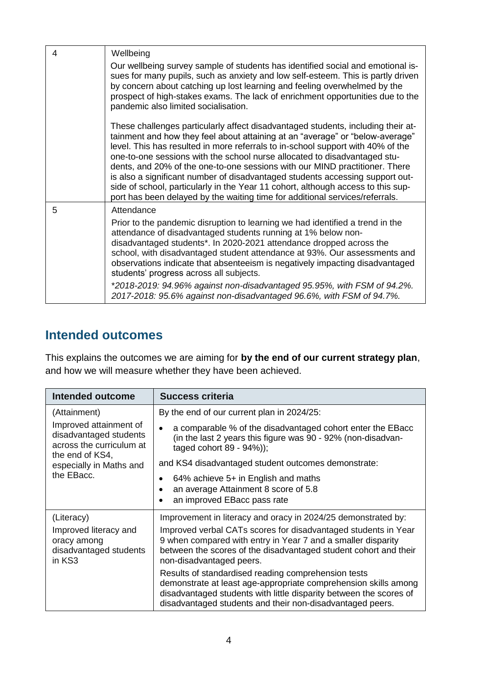| 4 | Wellbeing                                                                                                                                                                                                                                                                                                                                                                                                                                                                                                                                                                                                                                                             |
|---|-----------------------------------------------------------------------------------------------------------------------------------------------------------------------------------------------------------------------------------------------------------------------------------------------------------------------------------------------------------------------------------------------------------------------------------------------------------------------------------------------------------------------------------------------------------------------------------------------------------------------------------------------------------------------|
|   | Our wellbeing survey sample of students has identified social and emotional is-<br>sues for many pupils, such as anxiety and low self-esteem. This is partly driven<br>by concern about catching up lost learning and feeling overwhelmed by the<br>prospect of high-stakes exams. The lack of enrichment opportunities due to the<br>pandemic also limited socialisation.                                                                                                                                                                                                                                                                                            |
|   | These challenges particularly affect disadvantaged students, including their at-<br>tainment and how they feel about attaining at an "average" or "below-average"<br>level. This has resulted in more referrals to in-school support with 40% of the<br>one-to-one sessions with the school nurse allocated to disadvantaged stu-<br>dents, and 20% of the one-to-one sessions with our MIND practitioner. There<br>is also a significant number of disadvantaged students accessing support out-<br>side of school, particularly in the Year 11 cohort, although access to this sup-<br>port has been delayed by the waiting time for additional services/referrals. |
| 5 | Attendance                                                                                                                                                                                                                                                                                                                                                                                                                                                                                                                                                                                                                                                            |
|   | Prior to the pandemic disruption to learning we had identified a trend in the<br>attendance of disadvantaged students running at 1% below non-<br>disadvantaged students*. In 2020-2021 attendance dropped across the<br>school, with disadvantaged student attendance at 93%. Our assessments and<br>observations indicate that absenteeism is negatively impacting disadvantaged<br>students' progress across all subjects.                                                                                                                                                                                                                                         |
|   | *2018-2019: 94.96% against non-disadvantaged 95.95%, with FSM of 94.2%.<br>2017-2018: 95.6% against non-disadvantaged 96.6%, with FSM of 94.7%.                                                                                                                                                                                                                                                                                                                                                                                                                                                                                                                       |

#### **Intended outcomes**

This explains the outcomes we are aiming for **by the end of our current strategy plan**, and how we will measure whether they have been achieved.

| <b>Intended outcome</b>                                                      | <b>Success criteria</b>                                                                                                                                                                                                                                   |  |
|------------------------------------------------------------------------------|-----------------------------------------------------------------------------------------------------------------------------------------------------------------------------------------------------------------------------------------------------------|--|
| (Attainment)                                                                 | By the end of our current plan in 2024/25:                                                                                                                                                                                                                |  |
| Improved attainment of<br>disadvantaged students<br>across the curriculum at | a comparable % of the disadvantaged cohort enter the EBacc<br>(in the last 2 years this figure was 90 - 92% (non-disadvan-<br>taged cohort 89 - 94%));                                                                                                    |  |
| the end of KS4,<br>especially in Maths and                                   | and KS4 disadvantaged student outcomes demonstrate:                                                                                                                                                                                                       |  |
| the EBacc.                                                                   | $64\%$ achieve $5+$ in English and maths<br>an average Attainment 8 score of 5.8<br>an improved EBacc pass rate                                                                                                                                           |  |
| (Literacy)                                                                   | Improvement in literacy and oracy in 2024/25 demonstrated by:                                                                                                                                                                                             |  |
| Improved literacy and<br>oracy among<br>disadvantaged students<br>in KS3     | Improved verbal CATs scores for disadvantaged students in Year<br>9 when compared with entry in Year 7 and a smaller disparity<br>between the scores of the disadvantaged student cohort and their<br>non-disadvantaged peers.                            |  |
|                                                                              | Results of standardised reading comprehension tests<br>demonstrate at least age-appropriate comprehension skills among<br>disadvantaged students with little disparity between the scores of<br>disadvantaged students and their non-disadvantaged peers. |  |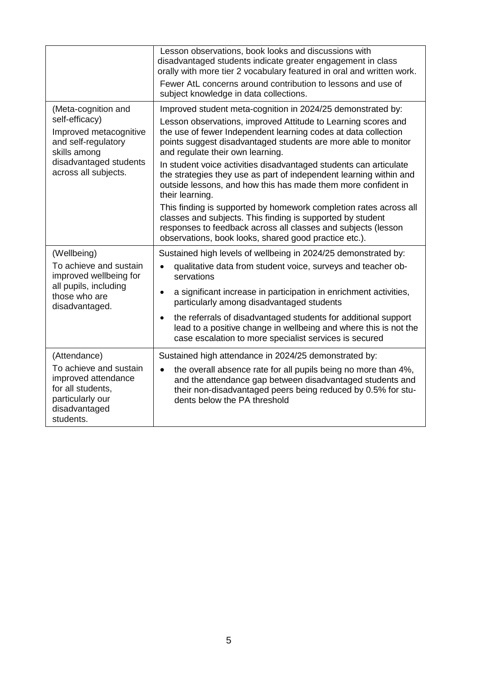|                                                                                                                                   | Lesson observations, book looks and discussions with<br>disadvantaged students indicate greater engagement in class<br>orally with more tier 2 vocabulary featured in oral and written work.<br>Fewer AtL concerns around contribution to lessons and use of<br>subject knowledge in data collections. |  |
|-----------------------------------------------------------------------------------------------------------------------------------|--------------------------------------------------------------------------------------------------------------------------------------------------------------------------------------------------------------------------------------------------------------------------------------------------------|--|
| (Meta-cognition and                                                                                                               | Improved student meta-cognition in 2024/25 demonstrated by:                                                                                                                                                                                                                                            |  |
| self-efficacy)<br>Improved metacognitive<br>and self-regulatory<br>skills among<br>disadvantaged students<br>across all subjects. | Lesson observations, improved Attitude to Learning scores and<br>the use of fewer Independent learning codes at data collection<br>points suggest disadvantaged students are more able to monitor<br>and regulate their own learning.                                                                  |  |
|                                                                                                                                   | In student voice activities disadvantaged students can articulate<br>the strategies they use as part of independent learning within and<br>outside lessons, and how this has made them more confident in<br>their learning.                                                                            |  |
|                                                                                                                                   | This finding is supported by homework completion rates across all<br>classes and subjects. This finding is supported by student<br>responses to feedback across all classes and subjects (lesson<br>observations, book looks, shared good practice etc.).                                              |  |
| (Wellbeing)                                                                                                                       | Sustained high levels of wellbeing in 2024/25 demonstrated by:                                                                                                                                                                                                                                         |  |
| To achieve and sustain<br>improved wellbeing for                                                                                  | qualitative data from student voice, surveys and teacher ob-<br>$\bullet$<br>servations                                                                                                                                                                                                                |  |
| all pupils, including<br>those who are<br>disadvantaged.                                                                          | a significant increase in participation in enrichment activities,<br>$\bullet$<br>particularly among disadvantaged students                                                                                                                                                                            |  |
|                                                                                                                                   | the referrals of disadvantaged students for additional support<br>$\bullet$<br>lead to a positive change in wellbeing and where this is not the<br>case escalation to more specialist services is secured                                                                                              |  |
| (Attendance)                                                                                                                      | Sustained high attendance in 2024/25 demonstrated by:                                                                                                                                                                                                                                                  |  |
| To achieve and sustain<br>improved attendance<br>for all students,<br>particularly our<br>disadvantaged<br>students.              | the overall absence rate for all pupils being no more than 4%,<br>$\bullet$<br>and the attendance gap between disadvantaged students and<br>their non-disadvantaged peers being reduced by 0.5% for stu-<br>dents below the PA threshold                                                               |  |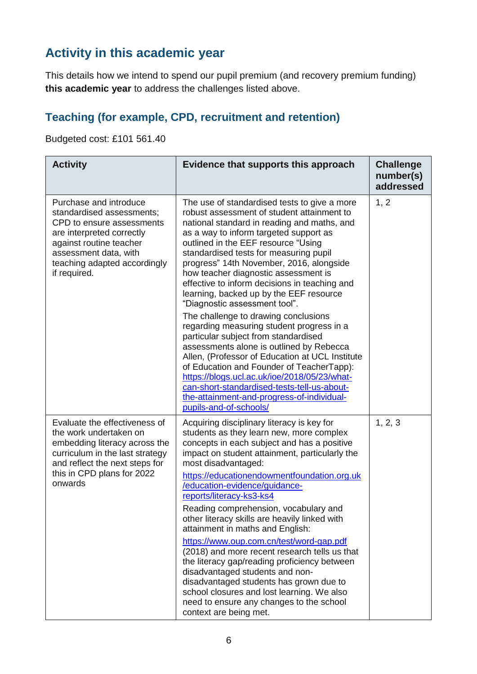## **Activity in this academic year**

This details how we intend to spend our pupil premium (and recovery premium funding) **this academic year** to address the challenges listed above.

#### **Teaching (for example, CPD, recruitment and retention)**

Budgeted cost: £101 561.40

| <b>Activity</b>                                                                                                                                                                                                   | Evidence that supports this approach                                                                                                                                                                                                                                                                                                                                                                                                                                                                                                                                       | <b>Challenge</b><br>number(s)<br>addressed |
|-------------------------------------------------------------------------------------------------------------------------------------------------------------------------------------------------------------------|----------------------------------------------------------------------------------------------------------------------------------------------------------------------------------------------------------------------------------------------------------------------------------------------------------------------------------------------------------------------------------------------------------------------------------------------------------------------------------------------------------------------------------------------------------------------------|--------------------------------------------|
| Purchase and introduce<br>standardised assessments;<br>CPD to ensure assessments<br>are interpreted correctly<br>against routine teacher<br>assessment data, with<br>teaching adapted accordingly<br>if required. | The use of standardised tests to give a more<br>robust assessment of student attainment to<br>national standard in reading and maths, and<br>as a way to inform targeted support as<br>outlined in the EEF resource "Using<br>standardised tests for measuring pupil<br>progress" 14th November, 2016, alongside<br>how teacher diagnostic assessment is<br>effective to inform decisions in teaching and<br>learning, backed up by the EEF resource<br>"Diagnostic assessment tool".<br>The challenge to drawing conclusions<br>regarding measuring student progress in a | 1, 2                                       |
|                                                                                                                                                                                                                   | particular subject from standardised<br>assessments alone is outlined by Rebecca<br>Allen, (Professor of Education at UCL Institute<br>of Education and Founder of TeacherTapp):<br>https://blogs.ucl.ac.uk/ioe/2018/05/23/what-<br>can-short-standardised-tests-tell-us-about-<br>the-attainment-and-progress-of-individual-<br>pupils-and-of-schools/                                                                                                                                                                                                                    |                                            |
| Evaluate the effectiveness of<br>the work undertaken on<br>embedding literacy across the<br>curriculum in the last strategy<br>and reflect the next steps for<br>this in CPD plans for 2022<br>onwards            | Acquiring disciplinary literacy is key for<br>students as they learn new, more complex<br>concepts in each subject and has a positive<br>impact on student attainment, particularly the<br>most disadvantaged:<br>https://educationendowmentfoundation.org.uk<br>/education-evidence/guidance-<br>reports/literacy-ks3-ks4<br>Reading comprehension, vocabulary and<br>other literacy skills are heavily linked with<br>attainment in maths and English:                                                                                                                   | 1, 2, 3                                    |
|                                                                                                                                                                                                                   | https://www.oup.com.cn/test/word-gap.pdf<br>(2018) and more recent research tells us that<br>the literacy gap/reading proficiency between<br>disadvantaged students and non-<br>disadvantaged students has grown due to<br>school closures and lost learning. We also<br>need to ensure any changes to the school<br>context are being met.                                                                                                                                                                                                                                |                                            |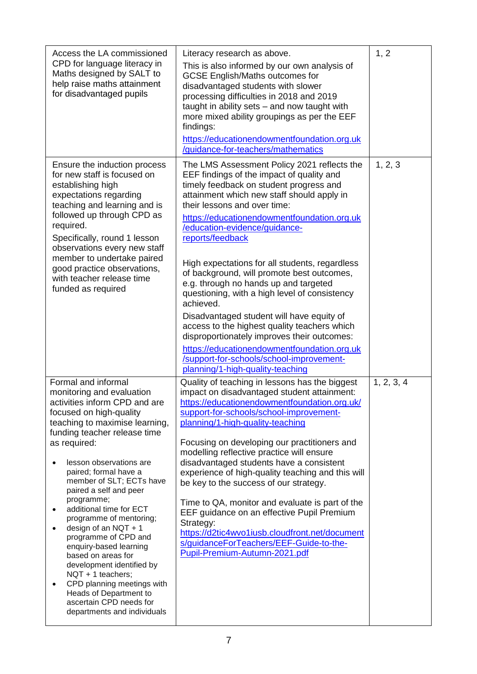| Access the LA commissioned                                                                                                                                                                                                                                                                                                                                                                                                                                                                                                                                                                                                                        | Literacy research as above.                                                                                                                                                                                                                                                                                                                                                                                                                                                                                                                                                                                                                                                                                                                                                                             | 1, 2       |
|---------------------------------------------------------------------------------------------------------------------------------------------------------------------------------------------------------------------------------------------------------------------------------------------------------------------------------------------------------------------------------------------------------------------------------------------------------------------------------------------------------------------------------------------------------------------------------------------------------------------------------------------------|---------------------------------------------------------------------------------------------------------------------------------------------------------------------------------------------------------------------------------------------------------------------------------------------------------------------------------------------------------------------------------------------------------------------------------------------------------------------------------------------------------------------------------------------------------------------------------------------------------------------------------------------------------------------------------------------------------------------------------------------------------------------------------------------------------|------------|
| CPD for language literacy in<br>Maths designed by SALT to<br>help raise maths attainment<br>for disadvantaged pupils                                                                                                                                                                                                                                                                                                                                                                                                                                                                                                                              | This is also informed by our own analysis of<br><b>GCSE English/Maths outcomes for</b><br>disadvantaged students with slower<br>processing difficulties in 2018 and 2019<br>taught in ability sets - and now taught with<br>more mixed ability groupings as per the EEF<br>findings:<br>https://educationendowmentfoundation.org.uk<br>/guidance-for-teachers/mathematics                                                                                                                                                                                                                                                                                                                                                                                                                               |            |
| Ensure the induction process<br>for new staff is focused on<br>establishing high<br>expectations regarding<br>teaching and learning and is<br>followed up through CPD as<br>required.<br>Specifically, round 1 lesson<br>observations every new staff<br>member to undertake paired<br>good practice observations,<br>with teacher release time<br>funded as required                                                                                                                                                                                                                                                                             | The LMS Assessment Policy 2021 reflects the<br>EEF findings of the impact of quality and<br>timely feedback on student progress and<br>attainment which new staff should apply in<br>their lessons and over time:<br>https://educationendowmentfoundation.org.uk<br>/education-evidence/guidance-<br>reports/feedback<br>High expectations for all students, regardless<br>of background, will promote best outcomes,<br>e.g. through no hands up and targeted<br>questioning, with a high level of consistency<br>achieved.<br>Disadvantaged student will have equity of<br>access to the highest quality teachers which<br>disproportionately improves their outcomes:<br>https://educationendowmentfoundation.org.uk<br>/support-for-schools/school-improvement-<br>planning/1-high-quality-teaching | 1, 2, 3    |
| Formal and informal<br>monitoring and evaluation<br>activities inform CPD and are<br>focused on high-quality<br>teaching to maximise learning,<br>funding teacher release time<br>as required:<br>lesson observations are<br>paired; formal have a<br>member of SLT; ECTs have<br>paired a self and peer<br>programme;<br>additional time for ECT<br>programme of mentoring;<br>design of an NQT $+1$<br>programme of CPD and<br>enquiry-based learning<br>based on areas for<br>development identified by<br>NQT + 1 teachers;<br>CPD planning meetings with<br>Heads of Department to<br>ascertain CPD needs for<br>departments and individuals | Quality of teaching in lessons has the biggest<br>impact on disadvantaged student attainment:<br>https://educationendowmentfoundation.org.uk/<br>support-for-schools/school-improvement-<br>planning/1-high-quality-teaching<br>Focusing on developing our practitioners and<br>modelling reflective practice will ensure<br>disadvantaged students have a consistent<br>experience of high-quality teaching and this will<br>be key to the success of our strategy.<br>Time to QA, monitor and evaluate is part of the<br>EEF guidance on an effective Pupil Premium<br>Strategy:<br>https://d2tic4wvo1iusb.cloudfront.net/document<br>s/guidanceForTeachers/EEF-Guide-to-the-<br>Pupil-Premium-Autumn-2021.pdf                                                                                        | 1, 2, 3, 4 |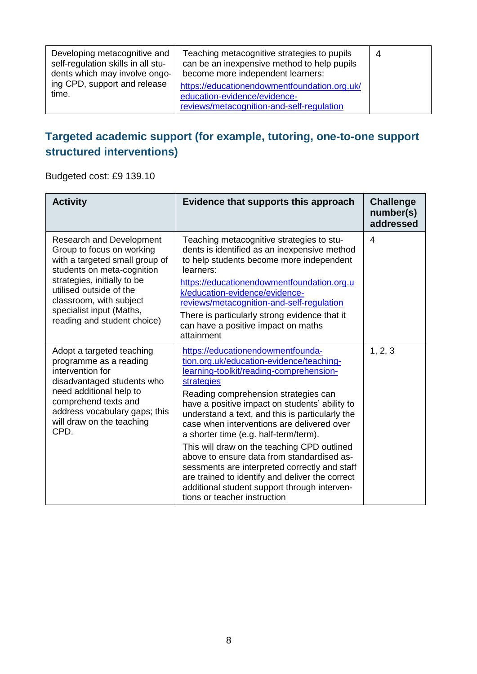| Developing metacognitive and<br>self-regulation skills in all stu-<br>dents which may involve ongo- | Teaching metacognitive strategies to pupils<br>can be an inexpensive method to help pupils<br>become more independent learners: | 4 |
|-----------------------------------------------------------------------------------------------------|---------------------------------------------------------------------------------------------------------------------------------|---|
| ing CPD, support and release<br>time.                                                               | https://educationendowmentfoundation.org.uk/<br>education-evidence/evidence-<br>reviews/metacognition-and-self-regulation       |   |

#### **Targeted academic support (for example, tutoring, one-to-one support structured interventions)**

Budgeted cost: £9 139.10

| <b>Activity</b>                                                                                                                                                                                                                                                              | Evidence that supports this approach                                                                                                                                                                                                                                                                                                                                                                                                                                                                                                                                                                                                                        | <b>Challenge</b><br>number(s)<br>addressed |
|------------------------------------------------------------------------------------------------------------------------------------------------------------------------------------------------------------------------------------------------------------------------------|-------------------------------------------------------------------------------------------------------------------------------------------------------------------------------------------------------------------------------------------------------------------------------------------------------------------------------------------------------------------------------------------------------------------------------------------------------------------------------------------------------------------------------------------------------------------------------------------------------------------------------------------------------------|--------------------------------------------|
| <b>Research and Development</b><br>Group to focus on working<br>with a targeted small group of<br>students on meta-cognition<br>strategies, initially to be<br>utilised outside of the<br>classroom, with subject<br>specialist input (Maths,<br>reading and student choice) | Teaching metacognitive strategies to stu-<br>dents is identified as an inexpensive method<br>to help students become more independent<br>learners:<br>https://educationendowmentfoundation.org.u<br>k/education-evidence/evidence-<br>reviews/metacognition-and-self-regulation<br>There is particularly strong evidence that it<br>can have a positive impact on maths<br>attainment                                                                                                                                                                                                                                                                       | $\overline{4}$                             |
| Adopt a targeted teaching<br>programme as a reading<br>intervention for<br>disadvantaged students who<br>need additional help to<br>comprehend texts and<br>address vocabulary gaps; this<br>will draw on the teaching<br>CPD.                                               | https://educationendowmentfounda-<br>tion.org.uk/education-evidence/teaching-<br>learning-toolkit/reading-comprehension-<br>strategies<br>Reading comprehension strategies can<br>have a positive impact on students' ability to<br>understand a text, and this is particularly the<br>case when interventions are delivered over<br>a shorter time (e.g. half-term/term).<br>This will draw on the teaching CPD outlined<br>above to ensure data from standardised as-<br>sessments are interpreted correctly and staff<br>are trained to identify and deliver the correct<br>additional student support through interven-<br>tions or teacher instruction | 1, 2, 3                                    |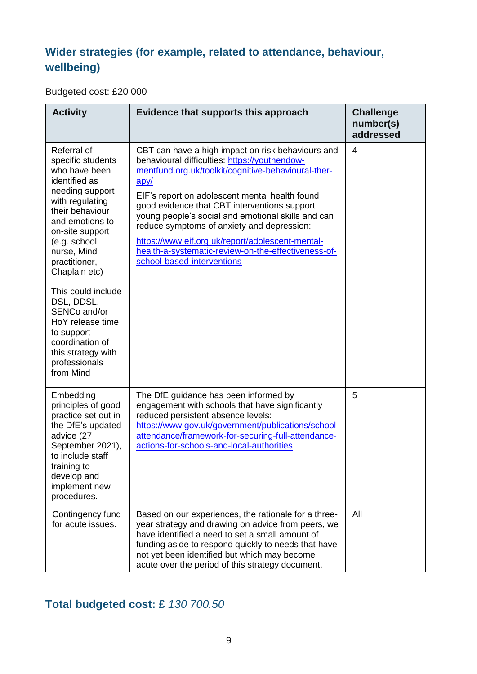#### **Wider strategies (for example, related to attendance, behaviour, wellbeing)**

Budgeted cost: £20 000

| <b>Activity</b>                                                                                                                                                                                                                                                                                                                                                                                 | Evidence that supports this approach                                                                                                                                                                                                                                                                                                                                                                                                                                                                             | <b>Challenge</b><br>number(s)<br>addressed |
|-------------------------------------------------------------------------------------------------------------------------------------------------------------------------------------------------------------------------------------------------------------------------------------------------------------------------------------------------------------------------------------------------|------------------------------------------------------------------------------------------------------------------------------------------------------------------------------------------------------------------------------------------------------------------------------------------------------------------------------------------------------------------------------------------------------------------------------------------------------------------------------------------------------------------|--------------------------------------------|
| Referral of<br>specific students<br>who have been<br>identified as<br>needing support<br>with regulating<br>their behaviour<br>and emotions to<br>on-site support<br>(e.g. school<br>nurse, Mind<br>practitioner,<br>Chaplain etc)<br>This could include<br>DSL, DDSL,<br>SENCo and/or<br>HoY release time<br>to support<br>coordination of<br>this strategy with<br>professionals<br>from Mind | CBT can have a high impact on risk behaviours and<br>behavioural difficulties: https://youthendow-<br>mentfund.org.uk/toolkit/cognitive-behavioural-ther-<br>apy/<br>EIF's report on adolescent mental health found<br>good evidence that CBT interventions support<br>young people's social and emotional skills and can<br>reduce symptoms of anxiety and depression:<br>https://www.eif.org.uk/report/adolescent-mental-<br>health-a-systematic-review-on-the-effectiveness-of-<br>school-based-interventions | $\overline{4}$                             |
| Embedding<br>principles of good<br>practice set out in<br>the DfE's updated<br>advice (27<br>September 2021),<br>to include staff<br>training to<br>develop and<br>implement new<br>procedures.                                                                                                                                                                                                 | The DfE guidance has been informed by<br>engagement with schools that have significantly<br>reduced persistent absence levels:<br>https://www.gov.uk/government/publications/school-<br>attendance/framework-for-securing-full-attendance-<br>actions-for-schools-and-local-authorities                                                                                                                                                                                                                          | 5                                          |
| Contingency fund<br>for acute issues.                                                                                                                                                                                                                                                                                                                                                           | Based on our experiences, the rationale for a three-<br>year strategy and drawing on advice from peers, we<br>have identified a need to set a small amount of<br>funding aside to respond quickly to needs that have<br>not yet been identified but which may become<br>acute over the period of this strategy document.                                                                                                                                                                                         | All                                        |

# **Total budgeted cost: £** *130 700.50*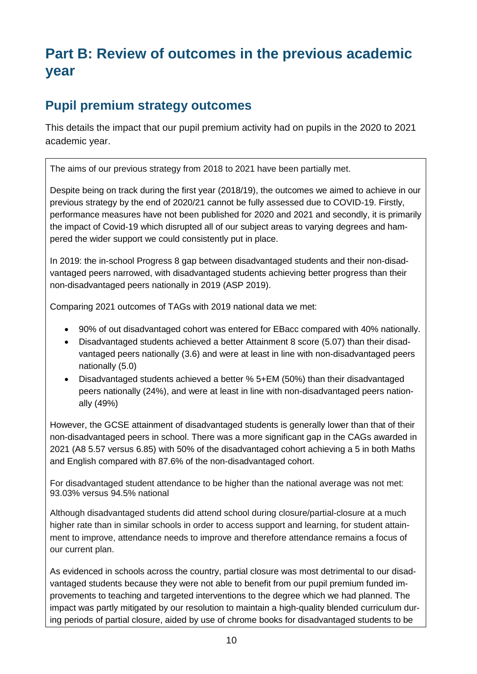# **Part B: Review of outcomes in the previous academic year**

#### **Pupil premium strategy outcomes**

This details the impact that our pupil premium activity had on pupils in the 2020 to 2021 academic year.

The aims of our previous strategy from 2018 to 2021 have been partially met.

Despite being on track during the first year (2018/19), the outcomes we aimed to achieve in our previous strategy by the end of 2020/21 cannot be fully assessed due to COVID-19. Firstly, performance measures have not been published for 2020 and 2021 and secondly, it is primarily the impact of Covid-19 which disrupted all of our subject areas to varying degrees and hampered the wider support we could consistently put in place.

In 2019: the in-school Progress 8 gap between disadvantaged students and their non-disadvantaged peers narrowed, with disadvantaged students achieving better progress than their non-disadvantaged peers nationally in 2019 (ASP 2019).

Comparing 2021 outcomes of TAGs with 2019 national data we met:

- 90% of out disadvantaged cohort was entered for EBacc compared with 40% nationally.
- Disadvantaged students achieved a better Attainment 8 score (5.07) than their disadvantaged peers nationally (3.6) and were at least in line with non-disadvantaged peers nationally (5.0)
- Disadvantaged students achieved a better % 5+EM (50%) than their disadvantaged peers nationally (24%), and were at least in line with non-disadvantaged peers nationally (49%)

However, the GCSE attainment of disadvantaged students is generally lower than that of their non-disadvantaged peers in school. There was a more significant gap in the CAGs awarded in 2021 (A8 5.57 versus 6.85) with 50% of the disadvantaged cohort achieving a 5 in both Maths and English compared with 87.6% of the non-disadvantaged cohort.

For disadvantaged student attendance to be higher than the national average was not met: 93.03% versus 94.5% national

Although disadvantaged students did attend school during closure/partial-closure at a much higher rate than in similar schools in order to access support and learning, for student attainment to improve, attendance needs to improve and therefore attendance remains a focus of our current plan.

As evidenced in schools across the country, partial closure was most detrimental to our disadvantaged students because they were not able to benefit from our pupil premium funded improvements to teaching and targeted interventions to the degree which we had planned. The impact was partly mitigated by our resolution to maintain a high-quality blended curriculum during periods of partial closure, aided by use of chrome books for disadvantaged students to be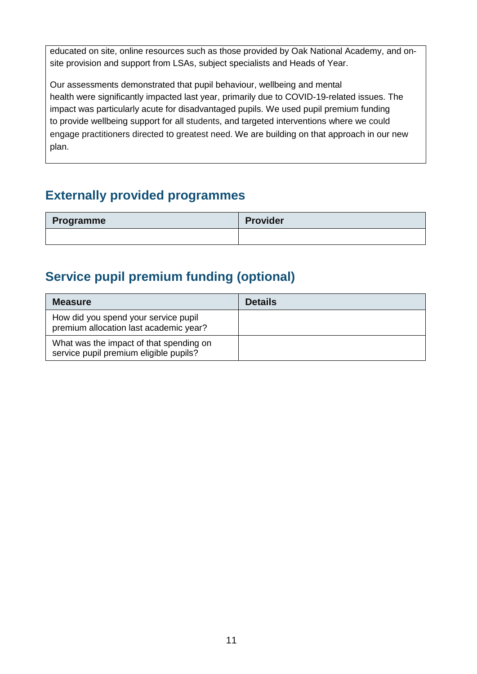educated on site, online resources such as those provided by Oak National Academy, and onsite provision and support from LSAs, subject specialists and Heads of Year.

Our assessments demonstrated that pupil behaviour, wellbeing and mental health were significantly impacted last year, primarily due to COVID-19-related issues. The impact was particularly acute for disadvantaged pupils. We used pupil premium funding to provide wellbeing support for all students, and targeted interventions where we could engage practitioners directed to greatest need. We are building on that approach in our new plan.

### **Externally provided programmes**

| Programme | <b>Provider</b> |
|-----------|-----------------|
|           |                 |

## **Service pupil premium funding (optional)**

| <b>Measure</b>                                                                    | <b>Details</b> |
|-----------------------------------------------------------------------------------|----------------|
| How did you spend your service pupil<br>premium allocation last academic year?    |                |
| What was the impact of that spending on<br>service pupil premium eligible pupils? |                |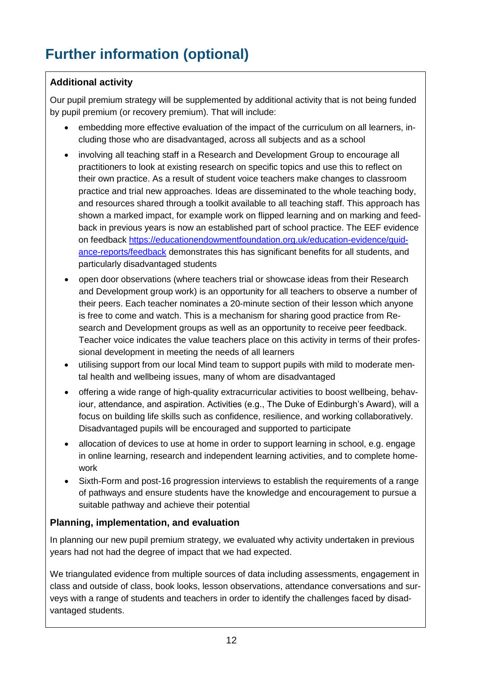# **Further information (optional)**

#### **Additional activity**

Our pupil premium strategy will be supplemented by additional activity that is not being funded by pupil premium (or recovery premium). That will include:

- embedding more effective evaluation of the impact of the curriculum on all learners, including those who are disadvantaged, across all subjects and as a school
- involving all teaching staff in a Research and Development Group to encourage all practitioners to look at existing research on specific topics and use this to reflect on their own practice. As a result of student voice teachers make changes to classroom practice and trial new approaches. Ideas are disseminated to the whole teaching body, and resources shared through a toolkit available to all teaching staff. This approach has shown a marked impact, for example work on flipped learning and on marking and feedback in previous years is now an established part of school practice. The EEF evidence on feedback [https://educationendowmentfoundation.org.uk/education-evidence/guid](https://educationendowmentfoundation.org.uk/education-evidence/guidance-reports/feedback)[ance-reports/feedback](https://educationendowmentfoundation.org.uk/education-evidence/guidance-reports/feedback) demonstrates this has significant benefits for all students, and particularly disadvantaged students
- open door observations (where teachers trial or showcase ideas from their Research and Development group work) is an opportunity for all teachers to observe a number of their peers. Each teacher nominates a 20-minute section of their lesson which anyone is free to come and watch. This is a mechanism for sharing good practice from Research and Development groups as well as an opportunity to receive peer feedback. Teacher voice indicates the value teachers place on this activity in terms of their professional development in meeting the needs of all learners
- utilising support from our local Mind team to support pupils with mild to moderate mental health and wellbeing issues, many of whom are disadvantaged
- offering a wide range of high-quality extracurricular activities to boost wellbeing, behaviour, attendance, and aspiration. Activities (e.g., The Duke of Edinburgh's Award), will a focus on building life skills such as confidence, resilience, and working collaboratively. Disadvantaged pupils will be encouraged and supported to participate
- allocation of devices to use at home in order to support learning in school, e.g. engage in online learning, research and independent learning activities, and to complete homework
- Sixth-Form and post-16 progression interviews to establish the requirements of a range of pathways and ensure students have the knowledge and encouragement to pursue a suitable pathway and achieve their potential

#### **Planning, implementation, and evaluation**

In planning our new pupil premium strategy, we evaluated why activity undertaken in previous years had not had the degree of impact that we had expected.

We triangulated evidence from multiple sources of data including assessments, engagement in class and outside of class, book looks, lesson observations, attendance conversations and surveys with a range of students and teachers in order to identify the challenges faced by disadvantaged students.